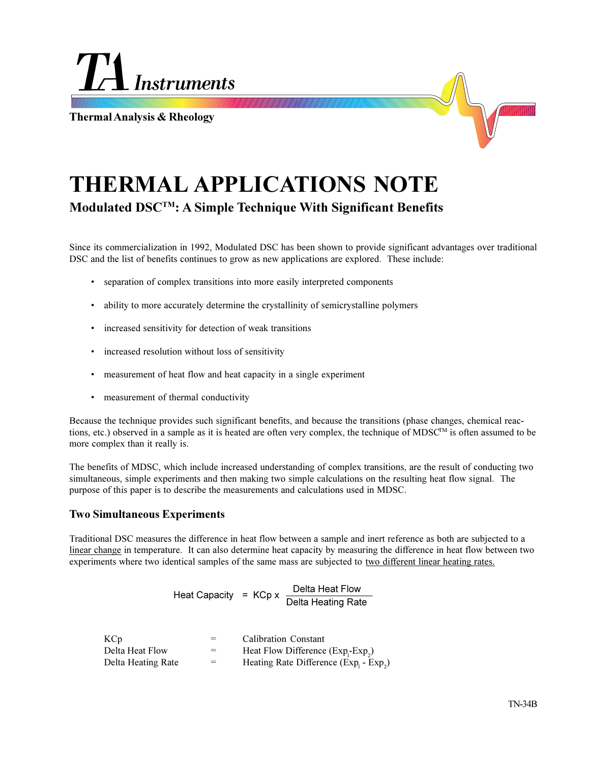

**Thermal Analysis & Rheology**



# **THERMAL APPLICATIONS NOTE Modulated DSCTM: A Simple Technique With Significant Benefits**

Since its commercialization in 1992, Modulated DSC has been shown to provide significant advantages over traditional DSC and the list of benefits continues to grow as new applications are explored. These include:

- separation of complex transitions into more easily interpreted components
- ability to more accurately determine the crystallinity of semicrystalline polymers
- increased sensitivity for detection of weak transitions
- increased resolution without loss of sensitivity
- measurement of heat flow and heat capacity in a single experiment
- measurement of thermal conductivity

Because the technique provides such significant benefits, and because the transitions (phase changes, chemical reactions, etc.) observed in a sample as it is heated are often very complex, the technique of MDSC™ is often assumed to be more complex than it really is.

The benefits of MDSC, which include increased understanding of complex transitions, are the result of conducting two simultaneous, simple experiments and then making two simple calculations on the resulting heat flow signal. The purpose of this paper is to describe the measurements and calculations used in MDSC.

## **Two Simultaneous Experiments**

Traditional DSC measures the difference in heat flow between a sample and inert reference as both are subjected to a linear change in temperature. It can also determine heat capacity by measuring the difference in heat flow between two experiments where two identical samples of the same mass are subjected to two different linear heating rates.

Heat Capacity = KCp x <mark>Delta Heat Flow</mark><br>Delta Heating Rate

| KC <sub>p</sub>    | $=$ | <b>Calibration Constant</b>           |
|--------------------|-----|---------------------------------------|
| Delta Heat Flow    | $=$ | Heat Flow Difference (Exp.-Exp.)      |
| Delta Heating Rate | $=$ | Heating Rate Difference (Exp. - Exp.) |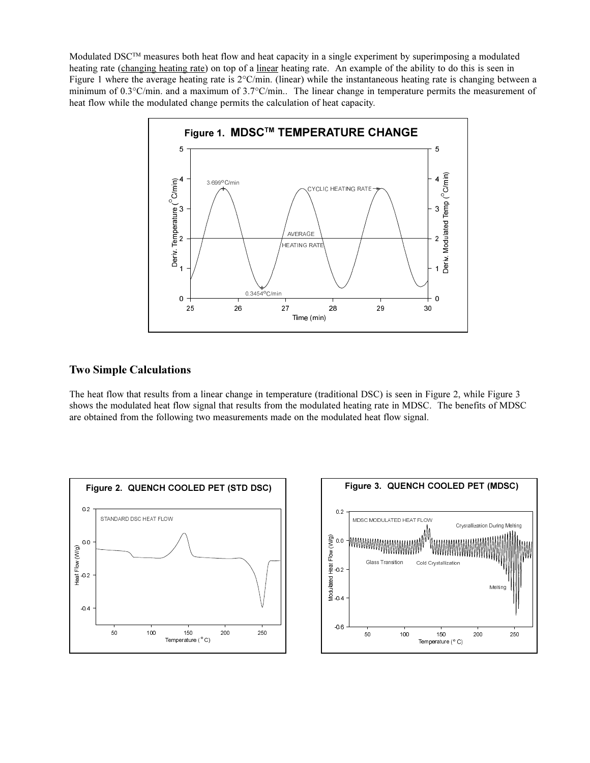Modulated DSC<sup>TM</sup> measures both heat flow and heat capacity in a single experiment by superimposing a modulated heating rate (changing heating rate) on top of a linear heating rate. An example of the ability to do this is seen in Figure 1 where the average heating rate is  $2^{\circ}$ C/min. (linear) while the instantaneous heating rate is changing between a minimum of 0.3°C/min. and a maximum of 3.7°C/min.. The linear change in temperature permits the measurement of heat flow while the modulated change permits the calculation of heat capacity.



# **Two Simple Calculations**

The heat flow that results from a linear change in temperature (traditional DSC) is seen in Figure 2, while Figure 3 shows the modulated heat flow signal that results from the modulated heating rate in MDSC. The benefits of MDSC are obtained from the following two measurements made on the modulated heat flow signal.



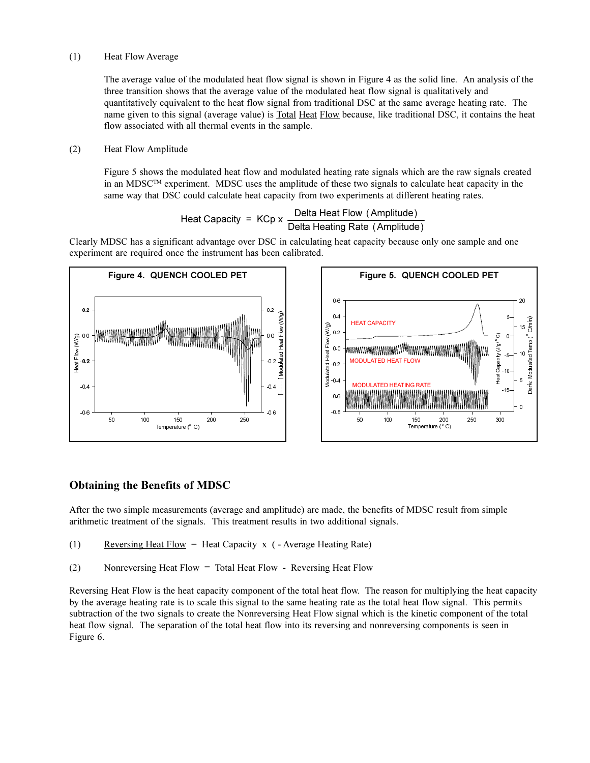#### (1) Heat Flow Average

The average value of the modulated heat flow signal is shown in Figure 4 as the solid line. An analysis of the three transition shows that the average value of the modulated heat flow signal is qualitatively and quantitatively equivalent to the heat flow signal from traditional DSC at the same average heating rate. The name given to this signal (average value) is Total Heat Flow because, like traditional DSC, it contains the heat flow associated with all thermal events in the sample.

## (2) Heat Flow Amplitude

Figure 5 shows the modulated heat flow and modulated heating rate signals which are the raw signals created in an MDSCTM experiment. MDSC uses the amplitude of these two signals to calculate heat capacity in the same way that DSC could calculate heat capacity from two experiments at different heating rates.

Heat Capacity = KCp x 
$$
\frac{\text{Delta Heat Flow (Amplitude)}}{\text{Delta heating Rate (Amplitude)}}
$$

Clearly MDSC has a significant advantage over DSC in calculating heat capacity because only one sample and one experiment are required once the instrument has been calibrated.



# **Obtaining the Benefits of MDSC**

After the two simple measurements (average and amplitude) are made, the benefits of MDSC result from simple arithmetic treatment of the signals. This treatment results in two additional signals.

- (1) Reversing Heat Flow = Heat Capacity x  $($  Average Heating Rate)
- (2) Nonreversing Heat Flow = Total Heat Flow Reversing Heat Flow

Reversing Heat Flow is the heat capacity component of the total heat flow. The reason for multiplying the heat capacity by the average heating rate is to scale this signal to the same heating rate as the total heat flow signal. This permits subtraction of the two signals to create the Nonreversing Heat Flow signal which is the kinetic component of the total heat flow signal. The separation of the total heat flow into its reversing and nonreversing components is seen in Figure 6.